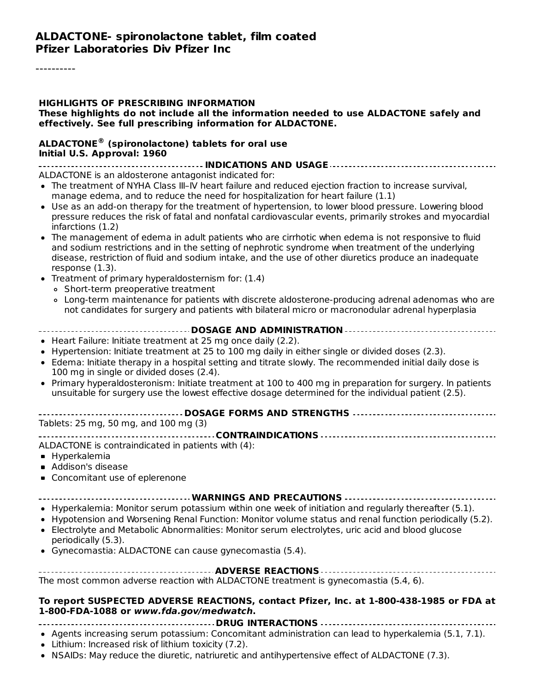#### **ALDACTONE- spironolactone tablet, film coated Pfizer Laboratories Div Pfizer Inc**

#### **HIGHLIGHTS OF PRESCRIBING INFORMATION These highlights do not include all the information needed to use ALDACTONE safely and effectively. See full prescribing information for ALDACTONE.**

#### **ALDACTONE (spironolactone) tablets for oral use ®Initial U.S. Approval: 1960**

**INDICATIONS AND USAGE**

ALDACTONE is an aldosterone antagonist indicated for:

- The treatment of NYHA Class III–IV heart failure and reduced ejection fraction to increase survival, manage edema, and to reduce the need for hospitalization for heart failure (1.1)
- Use as an add-on therapy for the treatment of hypertension, to lower blood pressure. Lowering blood pressure reduces the risk of fatal and nonfatal cardiovascular events, primarily strokes and myocardial infarctions (1.2)
- The management of edema in adult patients who are cirrhotic when edema is not responsive to fluid and sodium restrictions and in the setting of nephrotic syndrome when treatment of the underlying disease, restriction of fluid and sodium intake, and the use of other diuretics produce an inadequate response (1.3).
- Treatment of primary hyperaldosternism for: (1.4)
	- Short-term preoperative treatment
	- Long-term maintenance for patients with discrete aldosterone-producing adrenal adenomas who are not candidates for surgery and patients with bilateral micro or macronodular adrenal hyperplasia
- **DOSAGE AND ADMINISTRATION**
- Heart Failure: Initiate treatment at 25 mg once daily (2.2).
- Hypertension: Initiate treatment at 25 to 100 mg daily in either single or divided doses (2.3).
- Edema: Initiate therapy in a hospital setting and titrate slowly. The recommended initial daily dose is 100 mg in single or divided doses (2.4).
- Primary hyperaldosteronism: Initiate treatment at 100 to 400 mg in preparation for surgery. In patients unsuitable for surgery use the lowest effective dosage determined for the individual patient (2.5).

| ------------------------------------ DOSAGE FORMS AND STRENGTHS ----------------------------------- |  |
|-----------------------------------------------------------------------------------------------------|--|
| Tablets: 25 mg, 50 mg, and 100 mg (3)                                                               |  |

**CONTRAINDICATIONS**

ALDACTONE is contraindicated in patients with (4):

- **Hyperkalemia**
- **Addison's disease**
- Concomitant use of eplerenone

**WARNINGS AND PRECAUTIONS**

- Hyperkalemia: Monitor serum potassium within one week of initiation and regularly thereafter (5.1).
- Hypotension and Worsening Renal Function: Monitor volume status and renal function periodically (5.2).
- Electrolyte and Metabolic Abnormalities: Monitor serum electrolytes, uric acid and blood glucose periodically (5.3).
- Gynecomastia: ALDACTONE can cause gynecomastia (5.4).

| The most common adverse reaction with ALDACTONE treatment is gynecomastia (5.4, 6). |
|-------------------------------------------------------------------------------------|

#### **To report SUSPECTED ADVERSE REACTIONS, contact Pfizer, Inc. at 1-800-438-1985 or FDA at 1-800-FDA-1088 or www.fda.gov/medwatch.**

**DRUG INTERACTIONS**

- Agents increasing serum potassium: Concomitant administration can lead to hyperkalemia (5.1, 7.1).
- Lithium: Increased risk of lithium toxicity (7.2).
- NSAIDs: May reduce the diuretic, natriuretic and antihypertensive effect of ALDACTONE (7.3).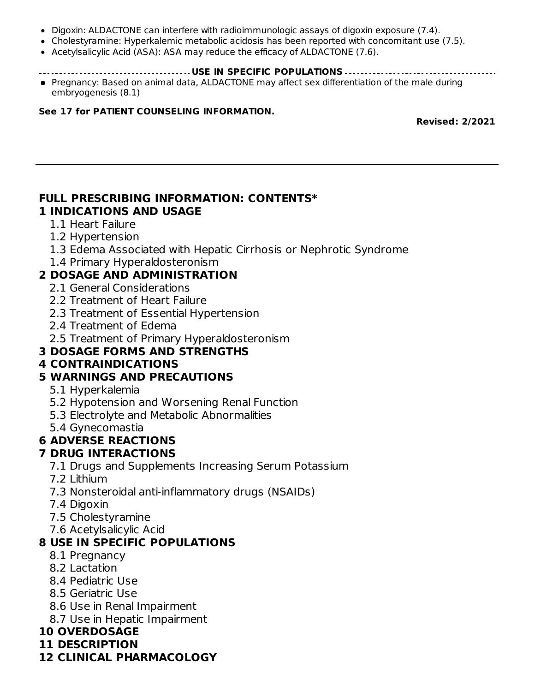- Digoxin: ALDACTONE can interfere with radioimmunologic assays of digoxin exposure (7.4).
- Cholestyramine: Hyperkalemic metabolic acidosis has been reported with concomitant use (7.5).
- Acetylsalicylic Acid (ASA): ASA may reduce the efficacy of ALDACTONE (7.6).
- **USE IN SPECIFIC POPULATIONS**
- Pregnancy: Based on animal data, ALDACTONE may affect sex differentiation of the male during embryogenesis (8.1)

#### **See 17 for PATIENT COUNSELING INFORMATION.**

**Revised: 2/2021**

#### **FULL PRESCRIBING INFORMATION: CONTENTS\* 1 INDICATIONS AND USAGE**

#### 1.1 Heart Failure

#### 1.2 Hypertension

- 1.3 Edema Associated with Hepatic Cirrhosis or Nephrotic Syndrome
- 1.4 Primary Hyperaldosteronism

### **2 DOSAGE AND ADMINISTRATION**

- 2.1 General Considerations
- 2.2 Treatment of Heart Failure
- 2.3 Treatment of Essential Hypertension
- 2.4 Treatment of Edema
- 2.5 Treatment of Primary Hyperaldosteronism

### **3 DOSAGE FORMS AND STRENGTHS**

### **4 CONTRAINDICATIONS**

### **5 WARNINGS AND PRECAUTIONS**

- 5.1 Hyperkalemia
- 5.2 Hypotension and Worsening Renal Function
- 5.3 Electrolyte and Metabolic Abnormalities
- 5.4 Gynecomastia

#### **6 ADVERSE REACTIONS**

#### **7 DRUG INTERACTIONS**

- 7.1 Drugs and Supplements Increasing Serum Potassium
- 7.2 Lithium
- 7.3 Nonsteroidal anti-inflammatory drugs (NSAIDs)
- 7.4 Digoxin
- 7.5 Cholestyramine
- 7.6 Acetylsalicylic Acid

### **8 USE IN SPECIFIC POPULATIONS**

- 8.1 Pregnancy
- 8.2 Lactation
- 8.4 Pediatric Use
- 8.5 Geriatric Use
- 8.6 Use in Renal Impairment
- 8.7 Use in Hepatic Impairment

#### **10 OVERDOSAGE**

**11 DESCRIPTION**

#### **12 CLINICAL PHARMACOLOGY**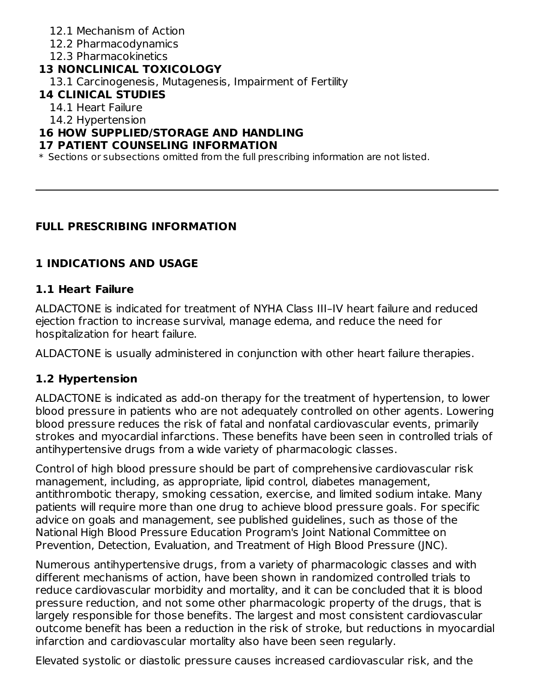- 12.1 Mechanism of Action
- 12.2 Pharmacodynamics
- 12.3 Pharmacokinetics

## **13 NONCLINICAL TOXICOLOGY**

13.1 Carcinogenesis, Mutagenesis, Impairment of Fertility

### **14 CLINICAL STUDIES**

14.1 Heart Failure

14.2 Hypertension

### **16 HOW SUPPLIED/STORAGE AND HANDLING**

#### **17 PATIENT COUNSELING INFORMATION**

 $\ast$  Sections or subsections omitted from the full prescribing information are not listed.

# **FULL PRESCRIBING INFORMATION**

# **1 INDICATIONS AND USAGE**

## **1.1 Heart Failure**

ALDACTONE is indicated for treatment of NYHA Class III–IV heart failure and reduced ejection fraction to increase survival, manage edema, and reduce the need for hospitalization for heart failure.

ALDACTONE is usually administered in conjunction with other heart failure therapies.

# **1.2 Hypertension**

ALDACTONE is indicated as add-on therapy for the treatment of hypertension, to lower blood pressure in patients who are not adequately controlled on other agents. Lowering blood pressure reduces the risk of fatal and nonfatal cardiovascular events, primarily strokes and myocardial infarctions. These benefits have been seen in controlled trials of antihypertensive drugs from a wide variety of pharmacologic classes.

Control of high blood pressure should be part of comprehensive cardiovascular risk management, including, as appropriate, lipid control, diabetes management, antithrombotic therapy, smoking cessation, exercise, and limited sodium intake. Many patients will require more than one drug to achieve blood pressure goals. For specific advice on goals and management, see published guidelines, such as those of the National High Blood Pressure Education Program's Joint National Committee on Prevention, Detection, Evaluation, and Treatment of High Blood Pressure (JNC).

Numerous antihypertensive drugs, from a variety of pharmacologic classes and with different mechanisms of action, have been shown in randomized controlled trials to reduce cardiovascular morbidity and mortality, and it can be concluded that it is blood pressure reduction, and not some other pharmacologic property of the drugs, that is largely responsible for those benefits. The largest and most consistent cardiovascular outcome benefit has been a reduction in the risk of stroke, but reductions in myocardial infarction and cardiovascular mortality also have been seen regularly.

Elevated systolic or diastolic pressure causes increased cardiovascular risk, and the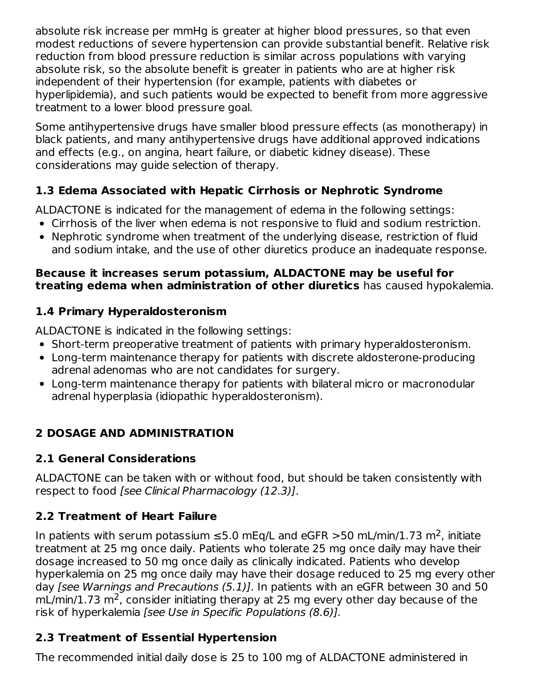absolute risk increase per mmHg is greater at higher blood pressures, so that even modest reductions of severe hypertension can provide substantial benefit. Relative risk reduction from blood pressure reduction is similar across populations with varying absolute risk, so the absolute benefit is greater in patients who are at higher risk independent of their hypertension (for example, patients with diabetes or hyperlipidemia), and such patients would be expected to benefit from more aggressive treatment to a lower blood pressure goal.

Some antihypertensive drugs have smaller blood pressure effects (as monotherapy) in black patients, and many antihypertensive drugs have additional approved indications and effects (e.g., on angina, heart failure, or diabetic kidney disease). These considerations may guide selection of therapy.

# **1.3 Edema Associated with Hepatic Cirrhosis or Nephrotic Syndrome**

ALDACTONE is indicated for the management of edema in the following settings:

- Cirrhosis of the liver when edema is not responsive to fluid and sodium restriction.
- Nephrotic syndrome when treatment of the underlying disease, restriction of fluid and sodium intake, and the use of other diuretics produce an inadequate response.

#### **Because it increases serum potassium, ALDACTONE may be useful for treating edema when administration of other diuretics** has caused hypokalemia.

# **1.4 Primary Hyperaldosteronism**

ALDACTONE is indicated in the following settings:

- Short-term preoperative treatment of patients with primary hyperaldosteronism.
- Long-term maintenance therapy for patients with discrete aldosterone-producing adrenal adenomas who are not candidates for surgery.
- Long-term maintenance therapy for patients with bilateral micro or macronodular adrenal hyperplasia (idiopathic hyperaldosteronism).

# **2 DOSAGE AND ADMINISTRATION**

# **2.1 General Considerations**

ALDACTONE can be taken with or without food, but should be taken consistently with respect to food [see Clinical Pharmacology (12.3)].

# **2.2 Treatment of Heart Failure**

In patients with serum potassium  $\leq$ 5.0 mEq/L and eGFR >50 mL/min/1.73 m<sup>2</sup>, initiate treatment at 25 mg once daily. Patients who tolerate 25 mg once daily may have their dosage increased to 50 mg once daily as clinically indicated. Patients who develop hyperkalemia on 25 mg once daily may have their dosage reduced to 25 mg every other day [see Warnings and Precautions (5.1)]. In patients with an eGFR between 30 and 50  $mL/min/1.73 m<sup>2</sup>$ , consider initiating therapy at 25 mg every other day because of the risk of hyperkalemia [see Use in Specific Populations (8.6)].

# **2.3 Treatment of Essential Hypertension**

The recommended initial daily dose is 25 to 100 mg of ALDACTONE administered in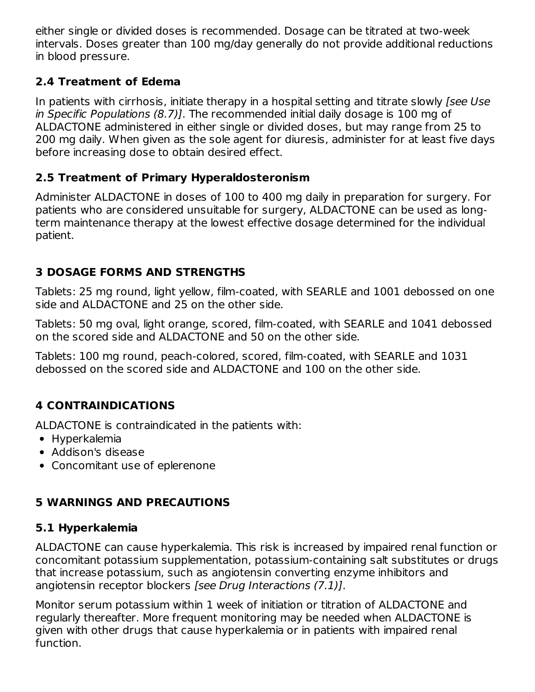either single or divided doses is recommended. Dosage can be titrated at two-week intervals. Doses greater than 100 mg/day generally do not provide additional reductions in blood pressure.

### **2.4 Treatment of Edema**

In patients with cirrhosis, initiate therapy in a hospital setting and titrate slowly [see Use in Specific Populations (8.7)]. The recommended initial daily dosage is 100 mg of ALDACTONE administered in either single or divided doses, but may range from 25 to 200 mg daily. When given as the sole agent for diuresis, administer for at least five days before increasing dose to obtain desired effect.

### **2.5 Treatment of Primary Hyperaldosteronism**

Administer ALDACTONE in doses of 100 to 400 mg daily in preparation for surgery. For patients who are considered unsuitable for surgery, ALDACTONE can be used as longterm maintenance therapy at the lowest effective dosage determined for the individual patient.

### **3 DOSAGE FORMS AND STRENGTHS**

Tablets: 25 mg round, light yellow, film-coated, with SEARLE and 1001 debossed on one side and ALDACTONE and 25 on the other side.

Tablets: 50 mg oval, light orange, scored, film-coated, with SEARLE and 1041 debossed on the scored side and ALDACTONE and 50 on the other side.

Tablets: 100 mg round, peach-colored, scored, film-coated, with SEARLE and 1031 debossed on the scored side and ALDACTONE and 100 on the other side.

# **4 CONTRAINDICATIONS**

ALDACTONE is contraindicated in the patients with:

- Hyperkalemia
- Addison's disease
- Concomitant use of eplerenone

### **5 WARNINGS AND PRECAUTIONS**

### **5.1 Hyperkalemia**

ALDACTONE can cause hyperkalemia. This risk is increased by impaired renal function or concomitant potassium supplementation, potassium-containing salt substitutes or drugs that increase potassium, such as angiotensin converting enzyme inhibitors and angiotensin receptor blockers [see Drug Interactions (7.1)].

Monitor serum potassium within 1 week of initiation or titration of ALDACTONE and regularly thereafter. More frequent monitoring may be needed when ALDACTONE is given with other drugs that cause hyperkalemia or in patients with impaired renal function.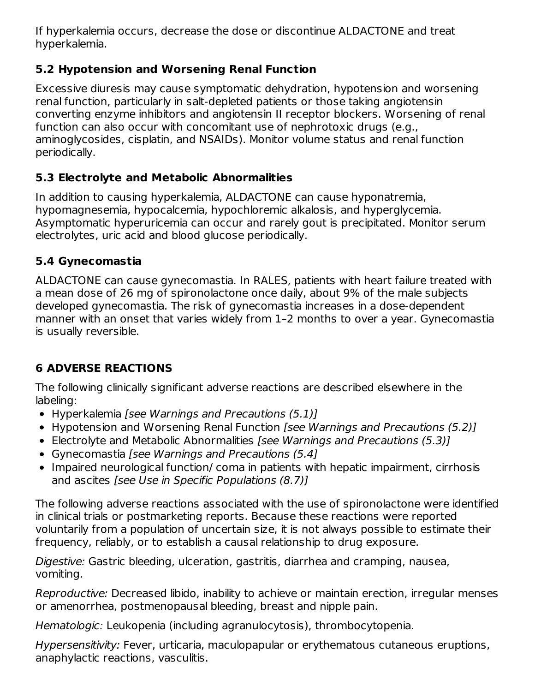If hyperkalemia occurs, decrease the dose or discontinue ALDACTONE and treat hyperkalemia.

## **5.2 Hypotension and Worsening Renal Function**

Excessive diuresis may cause symptomatic dehydration, hypotension and worsening renal function, particularly in salt-depleted patients or those taking angiotensin converting enzyme inhibitors and angiotensin II receptor blockers. Worsening of renal function can also occur with concomitant use of nephrotoxic drugs (e.g., aminoglycosides, cisplatin, and NSAIDs). Monitor volume status and renal function periodically.

# **5.3 Electrolyte and Metabolic Abnormalities**

In addition to causing hyperkalemia, ALDACTONE can cause hyponatremia, hypomagnesemia, hypocalcemia, hypochloremic alkalosis, and hyperglycemia. Asymptomatic hyperuricemia can occur and rarely gout is precipitated. Monitor serum electrolytes, uric acid and blood glucose periodically.

# **5.4 Gynecomastia**

ALDACTONE can cause gynecomastia. In RALES, patients with heart failure treated with a mean dose of 26 mg of spironolactone once daily, about 9% of the male subjects developed gynecomastia. The risk of gynecomastia increases in a dose-dependent manner with an onset that varies widely from 1–2 months to over a year. Gynecomastia is usually reversible.

# **6 ADVERSE REACTIONS**

The following clinically significant adverse reactions are described elsewhere in the labeling:

- Hyperkalemia [see Warnings and Precautions (5.1)]
- Hypotension and Worsening Renal Function [see Warnings and Precautions (5.2)]
- Electrolyte and Metabolic Abnormalities [see Warnings and Precautions (5.3)]
- Gynecomastia [see Warnings and Precautions (5.4]
- Impaired neurological function/ coma in patients with hepatic impairment, cirrhosis and ascites [see Use in Specific Populations (8.7)]

The following adverse reactions associated with the use of spironolactone were identified in clinical trials or postmarketing reports. Because these reactions were reported voluntarily from a population of uncertain size, it is not always possible to estimate their frequency, reliably, or to establish a causal relationship to drug exposure.

Digestive: Gastric bleeding, ulceration, gastritis, diarrhea and cramping, nausea, vomiting.

Reproductive: Decreased libido, inability to achieve or maintain erection, irregular menses or amenorrhea, postmenopausal bleeding, breast and nipple pain.

Hematologic: Leukopenia (including agranulocytosis), thrombocytopenia.

Hypersensitivity: Fever, urticaria, maculopapular or erythematous cutaneous eruptions, anaphylactic reactions, vasculitis.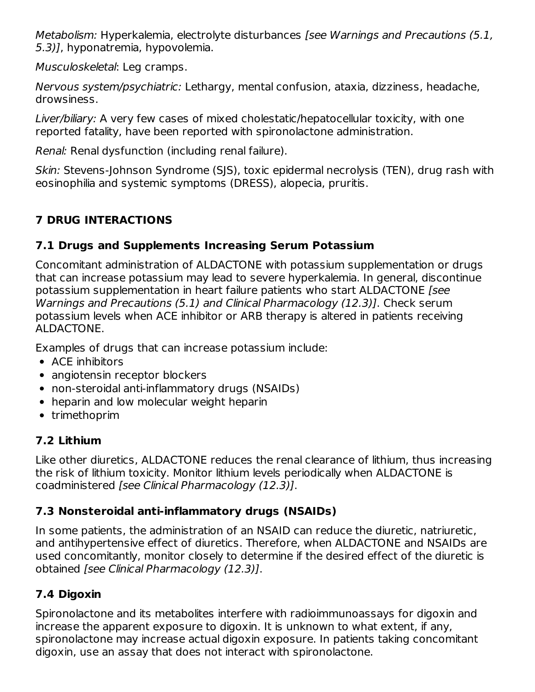Metabolism: Hyperkalemia, electrolyte disturbances [see Warnings and Precautions (5.1, 5.3)], hyponatremia, hypovolemia.

Musculoskeletal: Leg cramps.

Nervous system/psychiatric: Lethargy, mental confusion, ataxia, dizziness, headache, drowsiness.

Liver/biliary: A very few cases of mixed cholestatic/hepatocellular toxicity, with one reported fatality, have been reported with spironolactone administration.

Renal: Renal dysfunction (including renal failure).

Skin: Stevens-Johnson Syndrome (SJS), toxic epidermal necrolysis (TEN), drug rash with eosinophilia and systemic symptoms (DRESS), alopecia, pruritis.

# **7 DRUG INTERACTIONS**

# **7.1 Drugs and Supplements Increasing Serum Potassium**

Concomitant administration of ALDACTONE with potassium supplementation or drugs that can increase potassium may lead to severe hyperkalemia. In general, discontinue potassium supplementation in heart failure patients who start ALDACTONE [see Warnings and Precautions (5.1) and Clinical Pharmacology (12.3)]. Check serum potassium levels when ACE inhibitor or ARB therapy is altered in patients receiving ALDACTONE.

Examples of drugs that can increase potassium include:

- ACE inhibitors
- angiotensin receptor blockers
- non-steroidal anti-inflammatory drugs (NSAIDs)
- heparin and low molecular weight heparin
- trimethoprim

# **7.2 Lithium**

Like other diuretics, ALDACTONE reduces the renal clearance of lithium, thus increasing the risk of lithium toxicity. Monitor lithium levels periodically when ALDACTONE is coadministered [see Clinical Pharmacology (12.3)].

# **7.3 Nonsteroidal anti-inflammatory drugs (NSAIDs)**

In some patients, the administration of an NSAID can reduce the diuretic, natriuretic, and antihypertensive effect of diuretics. Therefore, when ALDACTONE and NSAIDs are used concomitantly, monitor closely to determine if the desired effect of the diuretic is obtained [see Clinical Pharmacology (12.3)].

# **7.4 Digoxin**

Spironolactone and its metabolites interfere with radioimmunoassays for digoxin and increase the apparent exposure to digoxin. It is unknown to what extent, if any, spironolactone may increase actual digoxin exposure. In patients taking concomitant digoxin, use an assay that does not interact with spironolactone.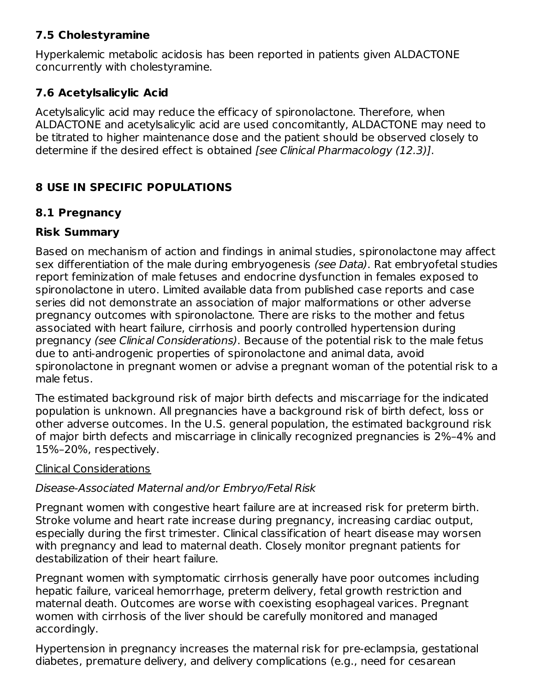### **7.5 Cholestyramine**

Hyperkalemic metabolic acidosis has been reported in patients given ALDACTONE concurrently with cholestyramine.

# **7.6 Acetylsalicylic Acid**

Acetylsalicylic acid may reduce the efficacy of spironolactone. Therefore, when ALDACTONE and acetylsalicylic acid are used concomitantly, ALDACTONE may need to be titrated to higher maintenance dose and the patient should be observed closely to determine if the desired effect is obtained [see Clinical Pharmacology (12.3)].

# **8 USE IN SPECIFIC POPULATIONS**

# **8.1 Pregnancy**

# **Risk Summary**

Based on mechanism of action and findings in animal studies, spironolactone may affect sex differentiation of the male during embryogenesis (see Data). Rat embryofetal studies report feminization of male fetuses and endocrine dysfunction in females exposed to spironolactone in utero. Limited available data from published case reports and case series did not demonstrate an association of major malformations or other adverse pregnancy outcomes with spironolactone. There are risks to the mother and fetus associated with heart failure, cirrhosis and poorly controlled hypertension during pregnancy (see Clinical Considerations). Because of the potential risk to the male fetus due to anti-androgenic properties of spironolactone and animal data, avoid spironolactone in pregnant women or advise a pregnant woman of the potential risk to a male fetus.

The estimated background risk of major birth defects and miscarriage for the indicated population is unknown. All pregnancies have a background risk of birth defect, loss or other adverse outcomes. In the U.S. general population, the estimated background risk of major birth defects and miscarriage in clinically recognized pregnancies is 2%–4% and 15%–20%, respectively.

### Clinical Considerations

### Disease-Associated Maternal and/or Embryo/Fetal Risk

Pregnant women with congestive heart failure are at increased risk for preterm birth. Stroke volume and heart rate increase during pregnancy, increasing cardiac output, especially during the first trimester. Clinical classification of heart disease may worsen with pregnancy and lead to maternal death. Closely monitor pregnant patients for destabilization of their heart failure.

Pregnant women with symptomatic cirrhosis generally have poor outcomes including hepatic failure, variceal hemorrhage, preterm delivery, fetal growth restriction and maternal death. Outcomes are worse with coexisting esophageal varices. Pregnant women with cirrhosis of the liver should be carefully monitored and managed accordingly.

Hypertension in pregnancy increases the maternal risk for pre-eclampsia, gestational diabetes, premature delivery, and delivery complications (e.g., need for cesarean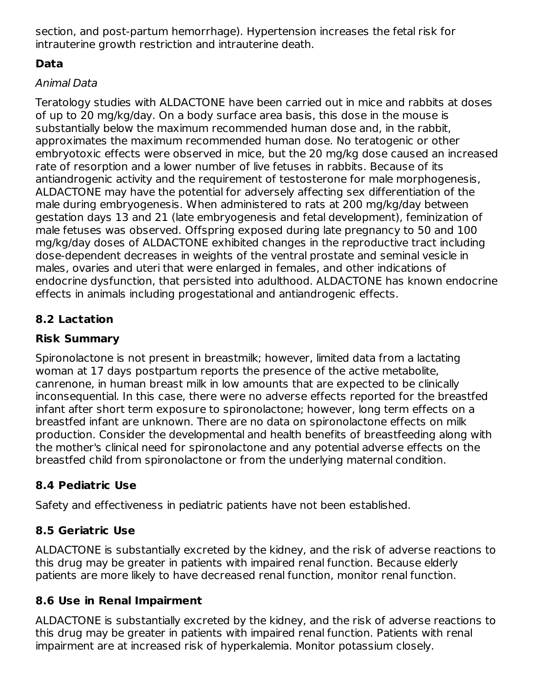section, and post-partum hemorrhage). Hypertension increases the fetal risk for intrauterine growth restriction and intrauterine death.

# **Data**

## Animal Data

Teratology studies with ALDACTONE have been carried out in mice and rabbits at doses of up to 20 mg/kg/day. On a body surface area basis, this dose in the mouse is substantially below the maximum recommended human dose and, in the rabbit, approximates the maximum recommended human dose. No teratogenic or other embryotoxic effects were observed in mice, but the 20 mg/kg dose caused an increased rate of resorption and a lower number of live fetuses in rabbits. Because of its antiandrogenic activity and the requirement of testosterone for male morphogenesis, ALDACTONE may have the potential for adversely affecting sex differentiation of the male during embryogenesis. When administered to rats at 200 mg/kg/day between gestation days 13 and 21 (late embryogenesis and fetal development), feminization of male fetuses was observed. Offspring exposed during late pregnancy to 50 and 100 mg/kg/day doses of ALDACTONE exhibited changes in the reproductive tract including dose-dependent decreases in weights of the ventral prostate and seminal vesicle in males, ovaries and uteri that were enlarged in females, and other indications of endocrine dysfunction, that persisted into adulthood. ALDACTONE has known endocrine effects in animals including progestational and antiandrogenic effects.

# **8.2 Lactation**

# **Risk Summary**

Spironolactone is not present in breastmilk; however, limited data from a lactating woman at 17 days postpartum reports the presence of the active metabolite, canrenone, in human breast milk in low amounts that are expected to be clinically inconsequential. In this case, there were no adverse effects reported for the breastfed infant after short term exposure to spironolactone; however, long term effects on a breastfed infant are unknown. There are no data on spironolactone effects on milk production. Consider the developmental and health benefits of breastfeeding along with the mother's clinical need for spironolactone and any potential adverse effects on the breastfed child from spironolactone or from the underlying maternal condition.

# **8.4 Pediatric Use**

Safety and effectiveness in pediatric patients have not been established.

# **8.5 Geriatric Use**

ALDACTONE is substantially excreted by the kidney, and the risk of adverse reactions to this drug may be greater in patients with impaired renal function. Because elderly patients are more likely to have decreased renal function, monitor renal function.

# **8.6 Use in Renal Impairment**

ALDACTONE is substantially excreted by the kidney, and the risk of adverse reactions to this drug may be greater in patients with impaired renal function. Patients with renal impairment are at increased risk of hyperkalemia. Monitor potassium closely.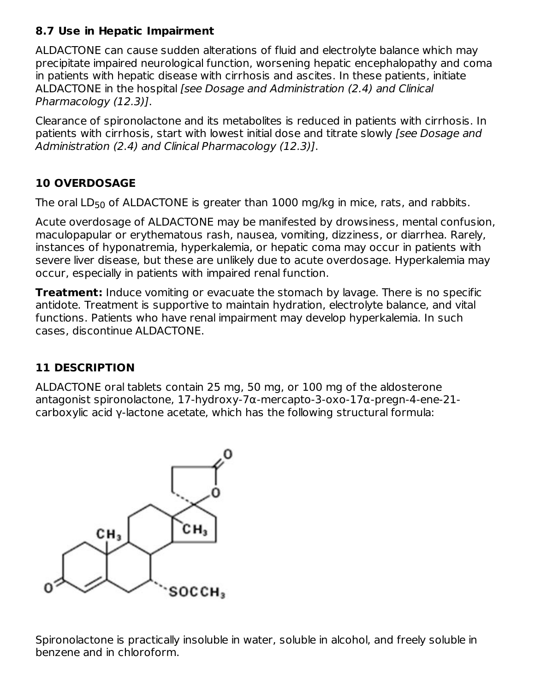## **8.7 Use in Hepatic Impairment**

ALDACTONE can cause sudden alterations of fluid and electrolyte balance which may precipitate impaired neurological function, worsening hepatic encephalopathy and coma in patients with hepatic disease with cirrhosis and ascites. In these patients, initiate ALDACTONE in the hospital [see Dosage and Administration (2.4) and Clinical Pharmacology (12.3)].

Clearance of spironolactone and its metabolites is reduced in patients with cirrhosis. In patients with cirrhosis, start with lowest initial dose and titrate slowly [see Dosage and Administration (2.4) and Clinical Pharmacology (12.3)].

## **10 OVERDOSAGE**

The oral  $\mathsf{LD}_{50}$  of ALDACTONE is greater than  $1000$  mg/kg in mice, rats, and rabbits.

Acute overdosage of ALDACTONE may be manifested by drowsiness, mental confusion, maculopapular or erythematous rash, nausea, vomiting, dizziness, or diarrhea. Rarely, instances of hyponatremia, hyperkalemia, or hepatic coma may occur in patients with severe liver disease, but these are unlikely due to acute overdosage. Hyperkalemia may occur, especially in patients with impaired renal function.

**Treatment:** Induce vomiting or evacuate the stomach by lavage. There is no specific antidote. Treatment is supportive to maintain hydration, electrolyte balance, and vital functions. Patients who have renal impairment may develop hyperkalemia. In such cases, discontinue ALDACTONE.

# **11 DESCRIPTION**

ALDACTONE oral tablets contain 25 mg, 50 mg, or 100 mg of the aldosterone antagonist spironolactone, 17-hydroxy-7α-mercapto-3-oxo-17α-pregn-4-ene-21 carboxylic acid γ-lactone acetate, which has the following structural formula:



Spironolactone is practically insoluble in water, soluble in alcohol, and freely soluble in benzene and in chloroform.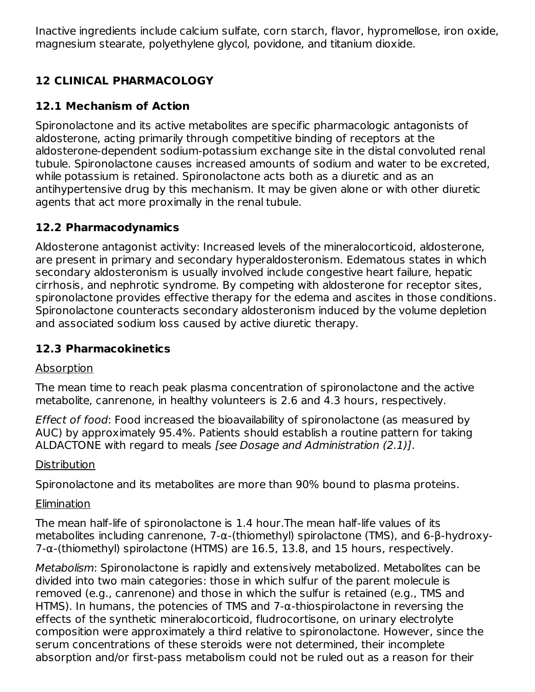Inactive ingredients include calcium sulfate, corn starch, flavor, hypromellose, iron oxide, magnesium stearate, polyethylene glycol, povidone, and titanium dioxide.

# **12 CLINICAL PHARMACOLOGY**

## **12.1 Mechanism of Action**

Spironolactone and its active metabolites are specific pharmacologic antagonists of aldosterone, acting primarily through competitive binding of receptors at the aldosterone-dependent sodium-potassium exchange site in the distal convoluted renal tubule. Spironolactone causes increased amounts of sodium and water to be excreted, while potassium is retained. Spironolactone acts both as a diuretic and as an antihypertensive drug by this mechanism. It may be given alone or with other diuretic agents that act more proximally in the renal tubule.

### **12.2 Pharmacodynamics**

Aldosterone antagonist activity: Increased levels of the mineralocorticoid, aldosterone, are present in primary and secondary hyperaldosteronism. Edematous states in which secondary aldosteronism is usually involved include congestive heart failure, hepatic cirrhosis, and nephrotic syndrome. By competing with aldosterone for receptor sites, spironolactone provides effective therapy for the edema and ascites in those conditions. Spironolactone counteracts secondary aldosteronism induced by the volume depletion and associated sodium loss caused by active diuretic therapy.

### **12.3 Pharmacokinetics**

### Absorption

The mean time to reach peak plasma concentration of spironolactone and the active metabolite, canrenone, in healthy volunteers is 2.6 and 4.3 hours, respectively.

Effect of food: Food increased the bioavailability of spironolactone (as measured by AUC) by approximately 95.4%. Patients should establish a routine pattern for taking ALDACTONE with regard to meals [see Dosage and Administration (2.1)].

### **Distribution**

Spironolactone and its metabolites are more than 90% bound to plasma proteins.

### **Elimination**

The mean half-life of spironolactone is 1.4 hour.The mean half-life values of its metabolites including canrenone, 7-α-(thiomethyl) spirolactone (TMS), and 6-β-hydroxy- $7-\alpha$ -(thiomethyl) spirolactone (HTMS) are 16.5, 13.8, and 15 hours, respectively.

Metabolism: Spironolactone is rapidly and extensively metabolized. Metabolites can be divided into two main categories: those in which sulfur of the parent molecule is removed (e.g., canrenone) and those in which the sulfur is retained (e.g., TMS and HTMS). In humans, the potencies of TMS and 7-α-thiospirolactone in reversing the effects of the synthetic mineralocorticoid, fludrocortisone, on urinary electrolyte composition were approximately a third relative to spironolactone. However, since the serum concentrations of these steroids were not determined, their incomplete absorption and/or first-pass metabolism could not be ruled out as a reason for their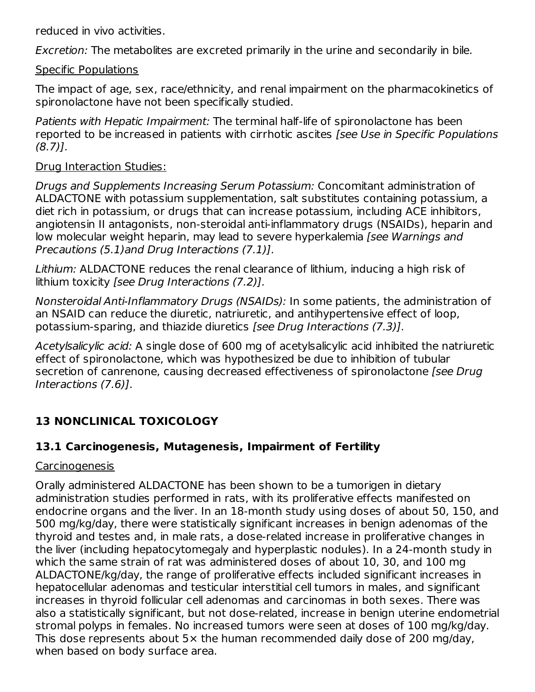reduced in vivo activities.

Excretion: The metabolites are excreted primarily in the urine and secondarily in bile.

#### Specific Populations

The impact of age, sex, race/ethnicity, and renal impairment on the pharmacokinetics of spironolactone have not been specifically studied.

Patients with Hepatic Impairment: The terminal half-life of spironolactone has been reported to be increased in patients with cirrhotic ascites [see Use in Specific Populations (8.7)].

#### Drug Interaction Studies:

Drugs and Supplements Increasing Serum Potassium: Concomitant administration of ALDACTONE with potassium supplementation, salt substitutes containing potassium, a diet rich in potassium, or drugs that can increase potassium, including ACE inhibitors, angiotensin II antagonists, non-steroidal anti-inflammatory drugs (NSAIDs), heparin and low molecular weight heparin, may lead to severe hyperkalemia [see Warnings and Precautions (5.1)and Drug Interactions (7.1)].

Lithium: ALDACTONE reduces the renal clearance of lithium, inducing a high risk of lithium toxicity [see Drug Interactions (7.2)].

Nonsteroidal Anti-Inflammatory Drugs (NSAIDs): In some patients, the administration of an NSAID can reduce the diuretic, natriuretic, and antihypertensive effect of loop, potassium-sparing, and thiazide diuretics [see Drug Interactions (7.3)].

Acetylsalicylic acid: A single dose of 600 mg of acetylsalicylic acid inhibited the natriuretic effect of spironolactone, which was hypothesized be due to inhibition of tubular secretion of canrenone, causing decreased effectiveness of spironolactone [see Drug] Interactions (7.6)].

# **13 NONCLINICAL TOXICOLOGY**

# **13.1 Carcinogenesis, Mutagenesis, Impairment of Fertility**

#### Carcinogenesis

Orally administered ALDACTONE has been shown to be a tumorigen in dietary administration studies performed in rats, with its proliferative effects manifested on endocrine organs and the liver. In an 18-month study using doses of about 50, 150, and 500 mg/kg/day, there were statistically significant increases in benign adenomas of the thyroid and testes and, in male rats, a dose-related increase in proliferative changes in the liver (including hepatocytomegaly and hyperplastic nodules). In a 24-month study in which the same strain of rat was administered doses of about 10, 30, and 100 mg ALDACTONE/kg/day, the range of proliferative effects included significant increases in hepatocellular adenomas and testicular interstitial cell tumors in males, and significant increases in thyroid follicular cell adenomas and carcinomas in both sexes. There was also a statistically significant, but not dose-related, increase in benign uterine endometrial stromal polyps in females. No increased tumors were seen at doses of 100 mg/kg/day. This dose represents about 5× the human recommended daily dose of 200 mg/day, when based on body surface area.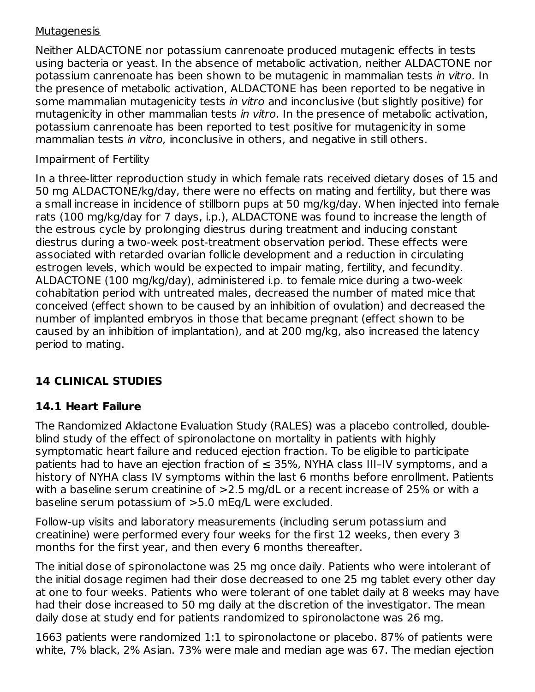#### **Mutagenesis**

Neither ALDACTONE nor potassium canrenoate produced mutagenic effects in tests using bacteria or yeast. In the absence of metabolic activation, neither ALDACTONE nor potassium canrenoate has been shown to be mutagenic in mammalian tests in vitro. In the presence of metabolic activation, ALDACTONE has been reported to be negative in some mammalian mutagenicity tests in vitro and inconclusive (but slightly positive) for mutagenicity in other mammalian tests in vitro. In the presence of metabolic activation, potassium canrenoate has been reported to test positive for mutagenicity in some mammalian tests in vitro, inconclusive in others, and negative in still others.

#### Impairment of Fertility

In a three-litter reproduction study in which female rats received dietary doses of 15 and 50 mg ALDACTONE/kg/day, there were no effects on mating and fertility, but there was a small increase in incidence of stillborn pups at 50 mg/kg/day. When injected into female rats (100 mg/kg/day for 7 days, i.p.), ALDACTONE was found to increase the length of the estrous cycle by prolonging diestrus during treatment and inducing constant diestrus during a two-week post-treatment observation period. These effects were associated with retarded ovarian follicle development and a reduction in circulating estrogen levels, which would be expected to impair mating, fertility, and fecundity. ALDACTONE (100 mg/kg/day), administered i.p. to female mice during a two-week cohabitation period with untreated males, decreased the number of mated mice that conceived (effect shown to be caused by an inhibition of ovulation) and decreased the number of implanted embryos in those that became pregnant (effect shown to be caused by an inhibition of implantation), and at 200 mg/kg, also increased the latency period to mating.

# **14 CLINICAL STUDIES**

### **14.1 Heart Failure**

The Randomized Aldactone Evaluation Study (RALES) was a placebo controlled, doubleblind study of the effect of spironolactone on mortality in patients with highly symptomatic heart failure and reduced ejection fraction. To be eligible to participate patients had to have an ejection fraction of  $\leq$  35%, NYHA class III-IV symptoms, and a history of NYHA class IV symptoms within the last 6 months before enrollment. Patients with a baseline serum creatinine of  $>2.5$  mg/dL or a recent increase of 25% or with a baseline serum potassium of >5.0 mEq/L were excluded.

Follow-up visits and laboratory measurements (including serum potassium and creatinine) were performed every four weeks for the first 12 weeks, then every 3 months for the first year, and then every 6 months thereafter.

The initial dose of spironolactone was 25 mg once daily. Patients who were intolerant of the initial dosage regimen had their dose decreased to one 25 mg tablet every other day at one to four weeks. Patients who were tolerant of one tablet daily at 8 weeks may have had their dose increased to 50 mg daily at the discretion of the investigator. The mean daily dose at study end for patients randomized to spironolactone was 26 mg.

1663 patients were randomized 1:1 to spironolactone or placebo. 87% of patients were white, 7% black, 2% Asian. 73% were male and median age was 67. The median ejection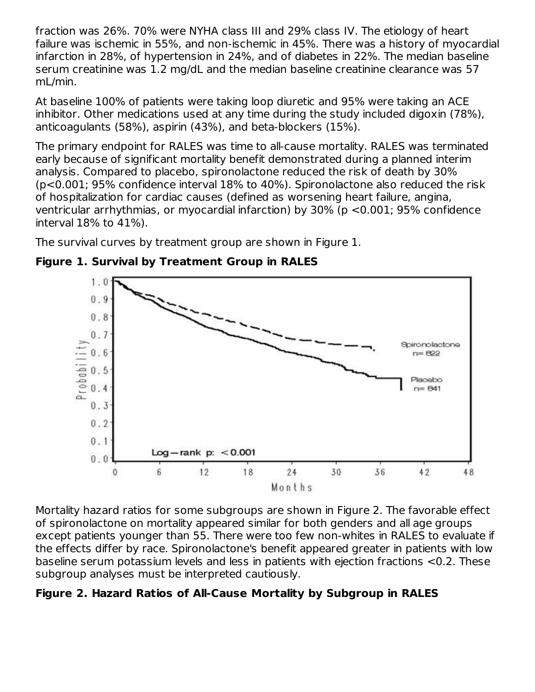fraction was 26%. 70% were NYHA class III and 29% class IV. The etiology of heart failure was ischemic in 55%, and non-ischemic in 45%. There was a history of myocardial infarction in 28%, of hypertension in 24%, and of diabetes in 22%. The median baseline serum creatinine was 1.2 mg/dL and the median baseline creatinine clearance was 57 mL/min.

At baseline 100% of patients were taking loop diuretic and 95% were taking an ACE inhibitor. Other medications used at any time during the study included digoxin (78%), anticoagulants (58%), aspirin (43%), and beta-blockers (15%).

The primary endpoint for RALES was time to all-cause mortality. RALES was terminated early because of significant mortality benefit demonstrated during a planned interim analysis. Compared to placebo, spironolactone reduced the risk of death by 30% (p<0.001; 95% confidence interval 18% to 40%). Spironolactone also reduced the risk of hospitalization for cardiac causes (defined as worsening heart failure, angina, ventricular arrhythmias, or myocardial infarction) by 30% (p <0.001; 95% confidence interval 18% to 41%).

The survival curves by treatment group are shown in Figure 1.



**Figure 1. Survival by Treatment Group in RALES**

Mortality hazard ratios for some subgroups are shown in Figure 2. The favorable effect of spironolactone on mortality appeared similar for both genders and all age groups except patients younger than 55. There were too few non-whites in RALES to evaluate if the effects differ by race. Spironolactone's benefit appeared greater in patients with low baseline serum potassium levels and less in patients with ejection fractions <0.2. These subgroup analyses must be interpreted cautiously.

### **Figure 2. Hazard Ratios of All-Cause Mortality by Subgroup in RALES**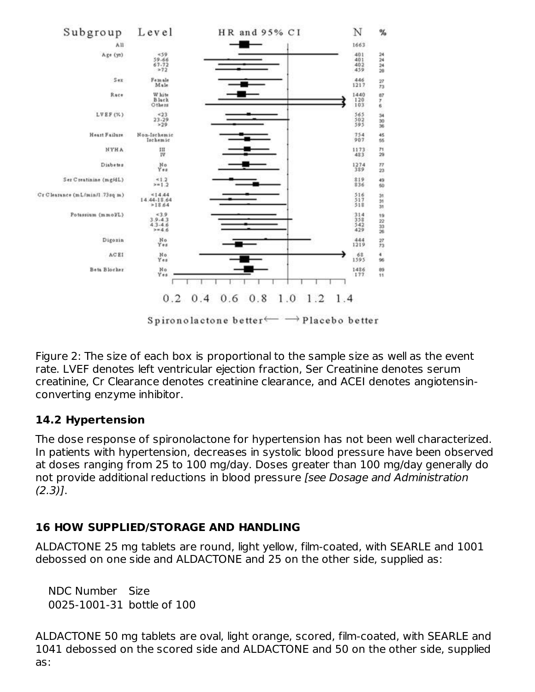

Figure 2: The size of each box is proportional to the sample size as well as the event rate. LVEF denotes left ventricular ejection fraction, Ser Creatinine denotes serum creatinine, Cr Clearance denotes creatinine clearance, and ACEI denotes angiotensinconverting enzyme inhibitor.

### **14.2 Hypertension**

The dose response of spironolactone for hypertension has not been well characterized. In patients with hypertension, decreases in systolic blood pressure have been observed at doses ranging from 25 to 100 mg/day. Doses greater than 100 mg/day generally do not provide additional reductions in blood pressure [see Dosage and Administration  $(2.3)$ ].

### **16 HOW SUPPLIED/STORAGE AND HANDLING**

ALDACTONE 25 mg tablets are round, light yellow, film-coated, with SEARLE and 1001 debossed on one side and ALDACTONE and 25 on the other side, supplied as:

NDC Number Size 0025-1001-31 bottle of 100

ALDACTONE 50 mg tablets are oval, light orange, scored, film-coated, with SEARLE and 1041 debossed on the scored side and ALDACTONE and 50 on the other side, supplied as: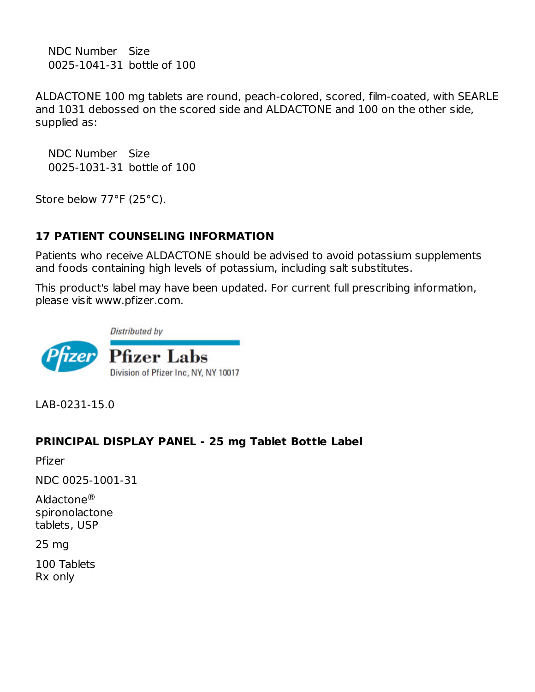NDC Number Size 0025-1041-31 bottle of 100

ALDACTONE 100 mg tablets are round, peach-colored, scored, film-coated, with SEARLE and 1031 debossed on the scored side and ALDACTONE and 100 on the other side, supplied as:

NDC Number Size 0025-1031-31 bottle of 100

Store below 77°F (25°C).

### **17 PATIENT COUNSELING INFORMATION**

Patients who receive ALDACTONE should be advised to avoid potassium supplements and foods containing high levels of potassium, including salt substitutes.

This product's label may have been updated. For current full prescribing information, please visit www.pfizer.com.



LAB-0231-15.0

#### **PRINCIPAL DISPLAY PANEL - 25 mg Tablet Bottle Label**

Pfizer

NDC 0025-1001-31

Aldactone® spironolactone tablets, USP

25 mg

100 Tablets Rx only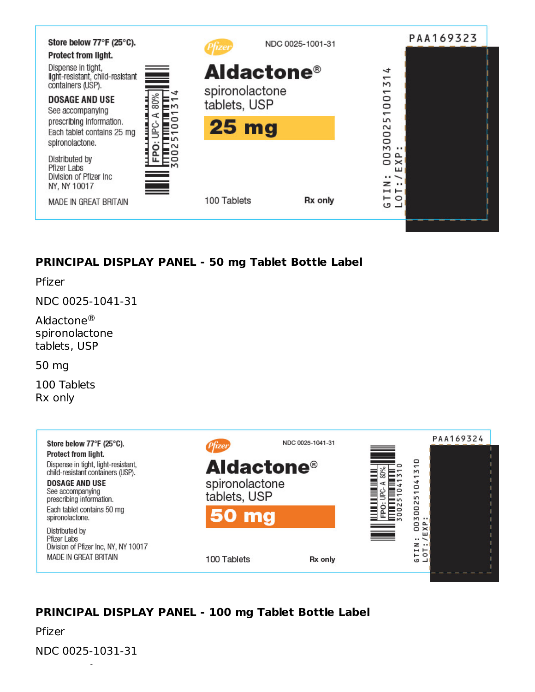

### **PRINCIPAL DISPLAY PANEL - 50 mg Tablet Bottle Label**

Pfizer

NDC 0025-1041-31

Aldactone® spironolactone tablets, USP

50 mg

100 Tablets Rx only



# **PRINCIPAL DISPLAY PANEL - 100 mg Tablet Bottle Label**

Pfizer

NDC 0025-1031-31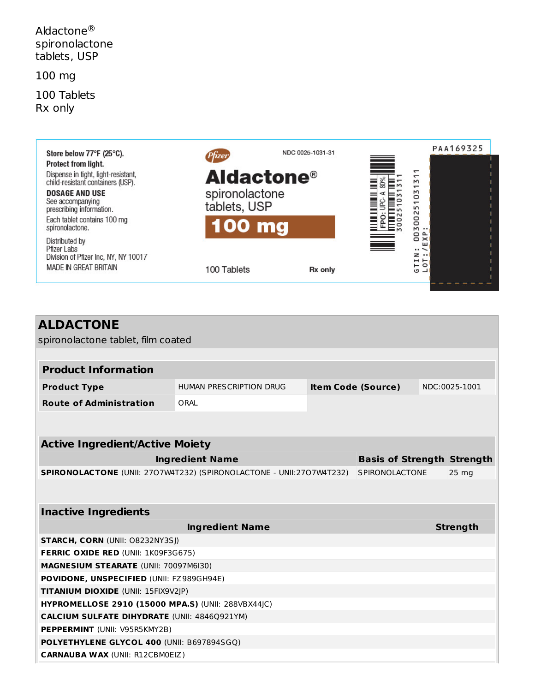Aldactone® spironolactone tablets, USP

100 mg

100 Tablets Rx only



| <b>ALDACTONE</b><br>spironolactone tablet, film coated               |                                              |                           |                                   |  |                  |  |  |  |
|----------------------------------------------------------------------|----------------------------------------------|---------------------------|-----------------------------------|--|------------------|--|--|--|
|                                                                      |                                              |                           |                                   |  |                  |  |  |  |
| <b>Product Information</b>                                           |                                              |                           |                                   |  |                  |  |  |  |
| <b>Product Type</b>                                                  | HUMAN PRESCRIPTION DRUG                      | <b>Item Code (Source)</b> |                                   |  | NDC:0025-1001    |  |  |  |
| <b>Route of Administration</b>                                       | ORAL                                         |                           |                                   |  |                  |  |  |  |
|                                                                      |                                              |                           |                                   |  |                  |  |  |  |
|                                                                      |                                              |                           |                                   |  |                  |  |  |  |
| <b>Active Ingredient/Active Moiety</b>                               |                                              |                           |                                   |  |                  |  |  |  |
|                                                                      | <b>Ingredient Name</b>                       |                           | <b>Basis of Strength Strength</b> |  |                  |  |  |  |
| SPIRONOLACTONE (UNII: 2707W4T232) (SPIRONOLACTONE - UNII:2707W4T232) |                                              |                           | <b>SPIRONOLACTONE</b>             |  | 25 <sub>mg</sub> |  |  |  |
|                                                                      |                                              |                           |                                   |  |                  |  |  |  |
|                                                                      |                                              |                           |                                   |  |                  |  |  |  |
| <b>Inactive Ingredients</b>                                          |                                              |                           |                                   |  |                  |  |  |  |
|                                                                      |                                              | <b>Strength</b>           |                                   |  |                  |  |  |  |
| <b>STARCH, CORN (UNII: O8232NY3SJ)</b>                               |                                              |                           |                                   |  |                  |  |  |  |
| <b>FERRIC OXIDE RED (UNII: 1K09F3G675)</b>                           |                                              |                           |                                   |  |                  |  |  |  |
|                                                                      | <b>MAGNESIUM STEARATE (UNII: 70097M6I30)</b> |                           |                                   |  |                  |  |  |  |
| POVIDONE, UNSPECIFIED (UNII: FZ989GH94E)                             |                                              |                           |                                   |  |                  |  |  |  |
| <b>TITANIUM DIOXIDE (UNII: 15FIX9V2JP)</b>                           |                                              |                           |                                   |  |                  |  |  |  |
| HYPROMELLOSE 2910 (15000 MPA.S) (UNII: 288VBX44JC)                   |                                              |                           |                                   |  |                  |  |  |  |
| <b>CALCIUM SULFATE DIHYDRATE (UNII: 4846Q921YM)</b>                  |                                              |                           |                                   |  |                  |  |  |  |
| <b>PEPPERMINT</b> (UNII: V95R5KMY2B)                                 |                                              |                           |                                   |  |                  |  |  |  |
| POLYETHYLENE GLYCOL 400 (UNII: B697894SGQ)                           |                                              |                           |                                   |  |                  |  |  |  |
| <b>CARNAUBA WAX (UNII: R12CBM0EIZ)</b>                               |                                              |                           |                                   |  |                  |  |  |  |
|                                                                      |                                              |                           |                                   |  |                  |  |  |  |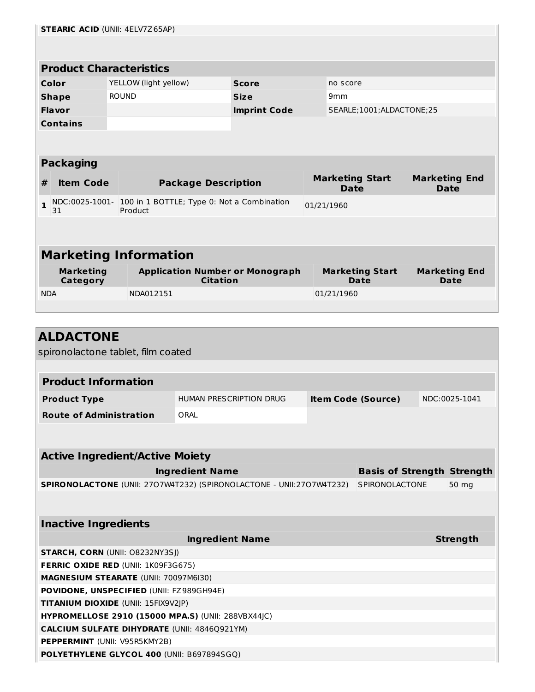|                                        |                                            | <b>STEARIC ACID (UNII: 4ELV7Z65AP)</b>                    |                                                                                                |                                        |                 |                           |                                   |                      |  |
|----------------------------------------|--------------------------------------------|-----------------------------------------------------------|------------------------------------------------------------------------------------------------|----------------------------------------|-----------------|---------------------------|-----------------------------------|----------------------|--|
|                                        |                                            |                                                           |                                                                                                |                                        |                 |                           |                                   |                      |  |
|                                        |                                            |                                                           |                                                                                                |                                        |                 |                           |                                   |                      |  |
|                                        |                                            | <b>Product Characteristics</b>                            |                                                                                                |                                        |                 |                           |                                   |                      |  |
|                                        | Color                                      | YELLOW (light yellow)                                     |                                                                                                | <b>Score</b>                           | no score        |                           |                                   |                      |  |
|                                        | <b>Shape</b>                               | <b>ROUND</b>                                              |                                                                                                | <b>Size</b>                            | 9 <sub>mm</sub> |                           |                                   |                      |  |
|                                        | Flavor                                     |                                                           |                                                                                                | <b>Imprint Code</b>                    |                 | SEARLE;1001;ALDACTONE;25  |                                   |                      |  |
|                                        | <b>Contains</b>                            |                                                           |                                                                                                |                                        |                 |                           |                                   |                      |  |
|                                        |                                            |                                                           |                                                                                                |                                        |                 |                           |                                   |                      |  |
|                                        |                                            |                                                           |                                                                                                |                                        |                 |                           |                                   |                      |  |
|                                        | <b>Packaging</b>                           |                                                           |                                                                                                |                                        |                 |                           |                                   |                      |  |
|                                        | <b>Item Code</b>                           |                                                           |                                                                                                |                                        |                 | <b>Marketing Start</b>    |                                   | <b>Marketing End</b> |  |
| #                                      |                                            |                                                           | <b>Package Description</b>                                                                     |                                        |                 | <b>Date</b>               |                                   | <b>Date</b>          |  |
| 1                                      |                                            | NDC:0025-1001- 100 in 1 BOTTLE; Type 0: Not a Combination |                                                                                                |                                        | 01/21/1960      |                           |                                   |                      |  |
|                                        | 31                                         | Product                                                   |                                                                                                |                                        |                 |                           |                                   |                      |  |
|                                        |                                            |                                                           |                                                                                                |                                        |                 |                           |                                   |                      |  |
|                                        |                                            |                                                           |                                                                                                |                                        |                 |                           |                                   |                      |  |
|                                        |                                            | <b>Marketing Information</b>                              |                                                                                                |                                        |                 |                           |                                   |                      |  |
|                                        | <b>Marketing</b>                           |                                                           |                                                                                                | <b>Application Number or Monograph</b> |                 | <b>Marketing Start</b>    |                                   | <b>Marketing End</b> |  |
|                                        | <b>Category</b>                            |                                                           | <b>Citation</b>                                                                                |                                        |                 | Date                      |                                   | Date                 |  |
| <b>NDA</b>                             |                                            | NDA012151                                                 |                                                                                                |                                        | 01/21/1960      |                           |                                   |                      |  |
|                                        |                                            |                                                           |                                                                                                |                                        |                 |                           |                                   |                      |  |
|                                        |                                            |                                                           |                                                                                                |                                        |                 |                           |                                   |                      |  |
|                                        | <b>ALDACTONE</b>                           |                                                           |                                                                                                |                                        |                 |                           |                                   |                      |  |
|                                        |                                            | spironolactone tablet, film coated                        |                                                                                                |                                        |                 |                           |                                   |                      |  |
|                                        |                                            |                                                           |                                                                                                |                                        |                 |                           |                                   |                      |  |
|                                        |                                            |                                                           |                                                                                                |                                        |                 |                           |                                   |                      |  |
|                                        | <b>Product Information</b>                 |                                                           |                                                                                                |                                        |                 |                           |                                   |                      |  |
|                                        | <b>Product Type</b>                        |                                                           | <b>HUMAN PRESCRIPTION DRUG</b>                                                                 |                                        |                 | <b>Item Code (Source)</b> |                                   | NDC:0025-1041        |  |
|                                        | <b>Route of Administration</b>             |                                                           | ORAL                                                                                           |                                        |                 |                           |                                   |                      |  |
|                                        |                                            |                                                           |                                                                                                |                                        |                 |                           |                                   |                      |  |
|                                        |                                            |                                                           |                                                                                                |                                        |                 |                           |                                   |                      |  |
|                                        |                                            | <b>Active Ingredient/Active Moiety</b>                    |                                                                                                |                                        |                 |                           |                                   |                      |  |
|                                        |                                            |                                                           |                                                                                                |                                        |                 |                           |                                   |                      |  |
|                                        |                                            |                                                           | <b>Ingredient Name</b><br>SPIRONOLACTONE (UNII: 2707W4T232) (SPIRONOLACTONE - UNII:2707W4T232) |                                        |                 |                           | <b>Basis of Strength Strength</b> |                      |  |
|                                        |                                            |                                                           |                                                                                                |                                        |                 | SPIRONOLACTONE            |                                   | 50 mg                |  |
|                                        |                                            |                                                           |                                                                                                |                                        |                 |                           |                                   |                      |  |
|                                        |                                            |                                                           |                                                                                                |                                        |                 |                           |                                   |                      |  |
|                                        | <b>Inactive Ingredients</b>                |                                                           |                                                                                                |                                        |                 |                           |                                   |                      |  |
| <b>Ingredient Name</b>                 |                                            |                                                           |                                                                                                |                                        |                 | <b>Strength</b>           |                                   |                      |  |
| <b>STARCH, CORN (UNII: O8232NY3SJ)</b> |                                            |                                                           |                                                                                                |                                        |                 |                           |                                   |                      |  |
|                                        | <b>FERRIC OXIDE RED (UNII: 1K09F3G675)</b> |                                                           |                                                                                                |                                        |                 |                           |                                   |                      |  |
|                                        |                                            |                                                           |                                                                                                |                                        |                 |                           |                                   |                      |  |
|                                        |                                            | <b>MAGNESIUM STEARATE (UNII: 70097M6I30)</b>              |                                                                                                |                                        |                 |                           |                                   |                      |  |
|                                        |                                            | POVIDONE, UNSPECIFIED (UNII: FZ989GH94E)                  |                                                                                                |                                        |                 |                           |                                   |                      |  |

**HYPROMELLOSE 2910 (15000 MPA.S)** (UNII: 288VBX44JC)

**CALCIUM SULFATE DIHYDRATE** (UNII: 4846Q921YM)

**POLYETHYLENE GLYCOL 400** (UNII: B697894SGQ)

**PEPPERMINT** (UNII: V95R5KMY2B)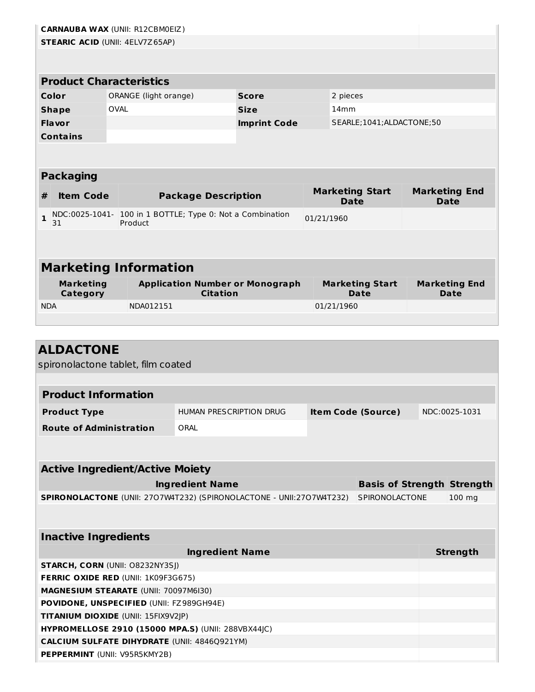|                                          |                                        | <b>CARNAUBA WAX (UNII: R12CBM0EIZ)</b>                                                                    |                            |                                        |            |                                       |  |                                   |
|------------------------------------------|----------------------------------------|-----------------------------------------------------------------------------------------------------------|----------------------------|----------------------------------------|------------|---------------------------------------|--|-----------------------------------|
|                                          | <b>STEARIC ACID (UNII: 4ELV7Z65AP)</b> |                                                                                                           |                            |                                        |            |                                       |  |                                   |
|                                          |                                        |                                                                                                           |                            |                                        |            |                                       |  |                                   |
|                                          |                                        |                                                                                                           |                            |                                        |            |                                       |  |                                   |
|                                          |                                        | <b>Product Characteristics</b>                                                                            |                            |                                        |            |                                       |  |                                   |
|                                          | Color                                  | ORANGE (light orange)                                                                                     |                            | <b>Score</b>                           |            | 2 pieces                              |  |                                   |
|                                          | <b>Shape</b>                           | <b>OVAL</b>                                                                                               |                            | <b>Size</b>                            |            | 14mm                                  |  |                                   |
|                                          | Flavor                                 |                                                                                                           |                            | <b>Imprint Code</b>                    |            | SEARLE;1041;ALDACTONE;50              |  |                                   |
|                                          | <b>Contains</b>                        |                                                                                                           |                            |                                        |            |                                       |  |                                   |
|                                          |                                        |                                                                                                           |                            |                                        |            |                                       |  |                                   |
|                                          |                                        |                                                                                                           |                            |                                        |            |                                       |  |                                   |
|                                          | <b>Packaging</b>                       |                                                                                                           |                            |                                        |            |                                       |  |                                   |
| #                                        | <b>Item Code</b>                       |                                                                                                           | <b>Package Description</b> |                                        |            | <b>Marketing Start</b>                |  | <b>Marketing End</b>              |
|                                          |                                        |                                                                                                           |                            |                                        |            | Date                                  |  | <b>Date</b>                       |
| 1                                        | 31                                     | NDC:0025-1041- 100 in 1 BOTTLE; Type 0: Not a Combination<br>Product                                      |                            |                                        | 01/21/1960 |                                       |  |                                   |
|                                          |                                        |                                                                                                           |                            |                                        |            |                                       |  |                                   |
|                                          |                                        |                                                                                                           |                            |                                        |            |                                       |  |                                   |
|                                          |                                        | <b>Marketing Information</b>                                                                              |                            |                                        |            |                                       |  |                                   |
|                                          |                                        |                                                                                                           |                            |                                        |            |                                       |  |                                   |
|                                          | <b>Marketing</b><br><b>Category</b>    |                                                                                                           | <b>Citation</b>            | <b>Application Number or Monograph</b> |            | <b>Marketing Start</b><br><b>Date</b> |  | <b>Marketing End</b><br>Date      |
| <b>NDA</b>                               |                                        | NDA012151                                                                                                 |                            |                                        |            | 01/21/1960                            |  |                                   |
|                                          |                                        |                                                                                                           |                            |                                        |            |                                       |  |                                   |
|                                          |                                        |                                                                                                           |                            |                                        |            |                                       |  |                                   |
|                                          | <b>ALDACTONE</b>                       |                                                                                                           |                            |                                        |            |                                       |  |                                   |
|                                          |                                        | spironolactone tablet, film coated                                                                        |                            |                                        |            |                                       |  |                                   |
|                                          |                                        |                                                                                                           |                            |                                        |            |                                       |  |                                   |
|                                          | <b>Product Information</b>             |                                                                                                           |                            |                                        |            |                                       |  |                                   |
|                                          |                                        |                                                                                                           |                            | <b>Item Code (Source)</b>              |            |                                       |  | NDC:0025-1031                     |
|                                          | <b>Product Type</b>                    |                                                                                                           | HUMAN PRESCRIPTION DRUG    |                                        |            |                                       |  |                                   |
|                                          | <b>Route of Administration</b>         |                                                                                                           | ORAL                       |                                        |            |                                       |  |                                   |
|                                          |                                        |                                                                                                           |                            |                                        |            |                                       |  |                                   |
|                                          |                                        |                                                                                                           |                            |                                        |            |                                       |  |                                   |
|                                          |                                        | <b>Active Ingredient/Active Moiety</b>                                                                    |                            |                                        |            |                                       |  |                                   |
|                                          |                                        |                                                                                                           | <b>Ingredient Name</b>     |                                        |            |                                       |  | <b>Basis of Strength Strength</b> |
|                                          |                                        | SPIRONOLACTONE (UNII: 2707W4T232) (SPIRONOLACTONE - UNII:2707W4T232)                                      |                            |                                        |            | SPIRONOLACTONE                        |  | $100$ mg                          |
|                                          |                                        |                                                                                                           |                            |                                        |            |                                       |  |                                   |
|                                          |                                        |                                                                                                           |                            |                                        |            |                                       |  |                                   |
| <b>Inactive Ingredients</b>              |                                        |                                                                                                           |                            |                                        |            |                                       |  |                                   |
|                                          |                                        |                                                                                                           | <b>Ingredient Name</b>     |                                        |            |                                       |  | <b>Strength</b>                   |
|                                          |                                        | <b>STARCH, CORN (UNII: O8232NY3SJ)</b>                                                                    |                            |                                        |            |                                       |  |                                   |
|                                          |                                        | FERRIC OXIDE RED (UNII: 1K09F3G675)                                                                       |                            |                                        |            |                                       |  |                                   |
|                                          | MAGNESIUM STEARATE (UNII: 70097M6I30)  |                                                                                                           |                            |                                        |            |                                       |  |                                   |
| POVIDONE, UNSPECIFIED (UNII: FZ989GH94E) |                                        |                                                                                                           |                            |                                        |            |                                       |  |                                   |
|                                          |                                        |                                                                                                           |                            |                                        |            |                                       |  |                                   |
|                                          |                                        | TITANIUM DIOXIDE (UNII: 15FIX9V2JP)                                                                       |                            |                                        |            |                                       |  |                                   |
|                                          |                                        | HYPROMELLOSE 2910 (15000 MPA.S) (UNII: 288VBX44JC)<br><b>CALCIUM SULFATE DIHYDRATE (UNII: 4846Q921YM)</b> |                            |                                        |            |                                       |  |                                   |

**PEPPERMINT** (UNII: V95R5KMY2B)